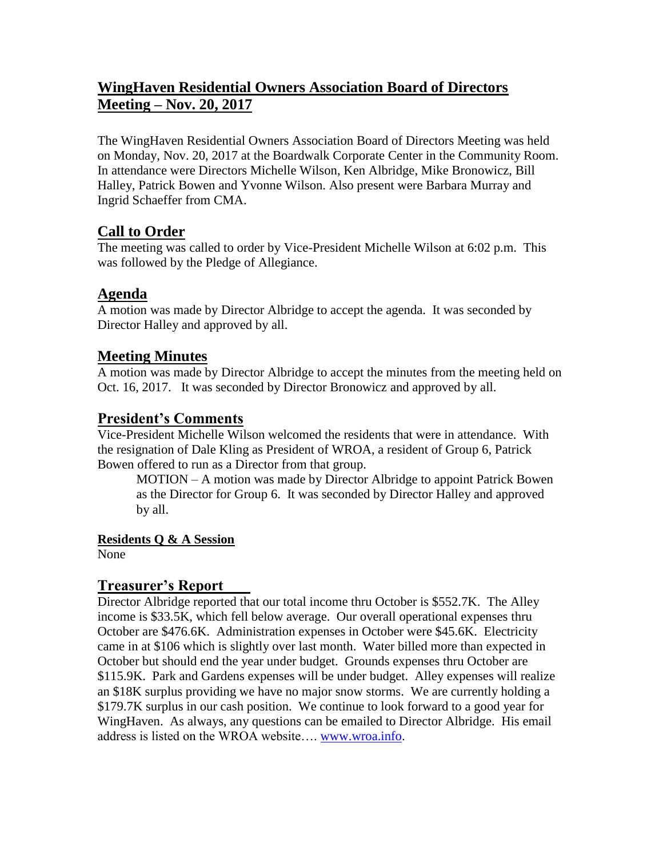# **WingHaven Residential Owners Association Board of Directors Meeting – Nov. 20, 2017**

The WingHaven Residential Owners Association Board of Directors Meeting was held on Monday, Nov. 20, 2017 at the Boardwalk Corporate Center in the Community Room. In attendance were Directors Michelle Wilson, Ken Albridge, Mike Bronowicz, Bill Halley, Patrick Bowen and Yvonne Wilson. Also present were Barbara Murray and Ingrid Schaeffer from CMA.

## **Call to Order**

The meeting was called to order by Vice-President Michelle Wilson at 6:02 p.m. This was followed by the Pledge of Allegiance.

## **Agenda**

A motion was made by Director Albridge to accept the agenda. It was seconded by Director Halley and approved by all.

## **Meeting Minutes**

A motion was made by Director Albridge to accept the minutes from the meeting held on Oct. 16, 2017. It was seconded by Director Bronowicz and approved by all.

## **President's Comments**

Vice-President Michelle Wilson welcomed the residents that were in attendance. With the resignation of Dale Kling as President of WROA, a resident of Group 6, Patrick Bowen offered to run as a Director from that group.

MOTION – A motion was made by Director Albridge to appoint Patrick Bowen as the Director for Group 6. It was seconded by Director Halley and approved by all.

### **Residents Q & A Session**

None

## **Treasurer's Report**

Director Albridge reported that our total income thru October is \$552.7K. The Alley income is \$33.5K, which fell below average. Our overall operational expenses thru October are \$476.6K. Administration expenses in October were \$45.6K. Electricity came in at \$106 which is slightly over last month. Water billed more than expected in October but should end the year under budget. Grounds expenses thru October are \$115.9K. Park and Gardens expenses will be under budget. Alley expenses will realize an \$18K surplus providing we have no major snow storms. We are currently holding a \$179.7K surplus in our cash position. We continue to look forward to a good year for WingHaven. As always, any questions can be emailed to Director Albridge. His email address is listed on the WROA website…. [www.wroa.info.](http://www.wroa.info/)